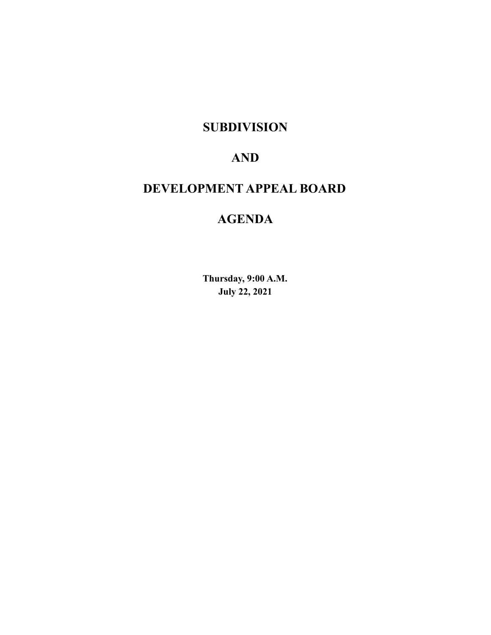# **SUBDIVISION**

# **AND**

# **DEVELOPMENT APPEAL BOARD**

# **AGENDA**

**Thursday, 9:00 A.M. July 22, 2021**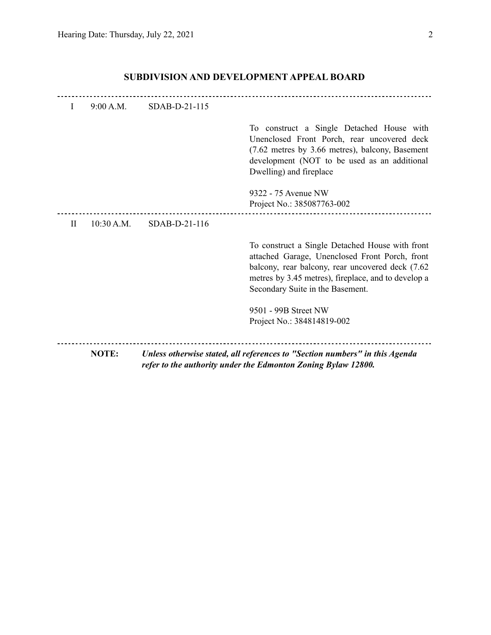|           | NOTE:      |               | Unless otherwise stated, all references to "Section numbers" in this Agenda<br>refer to the authority under the Edmonton Zoning Bylaw 12800.                                                                                                      |
|-----------|------------|---------------|---------------------------------------------------------------------------------------------------------------------------------------------------------------------------------------------------------------------------------------------------|
|           |            |               | 9501 - 99B Street NW<br>Project No.: 384814819-002                                                                                                                                                                                                |
|           |            |               | To construct a Single Detached House with front<br>attached Garage, Unenclosed Front Porch, front<br>balcony, rear balcony, rear uncovered deck (7.62)<br>metres by 3.45 metres), fireplace, and to develop a<br>Secondary Suite in the Basement. |
| $\rm{II}$ | 10:30 A.M. | SDAB-D-21-116 |                                                                                                                                                                                                                                                   |
|           |            |               | 9322 - 75 Avenue NW<br>Project No.: 385087763-002                                                                                                                                                                                                 |
|           |            |               | To construct a Single Detached House with<br>Unenclosed Front Porch, rear uncovered deck<br>(7.62 metres by 3.66 metres), balcony, Basement<br>development (NOT to be used as an additional<br>Dwelling) and fireplace                            |
| L         | 9:00 A.M.  | SDAB-D-21-115 |                                                                                                                                                                                                                                                   |

# **SUBDIVISION AND DEVELOPMENT APPEAL BOARD**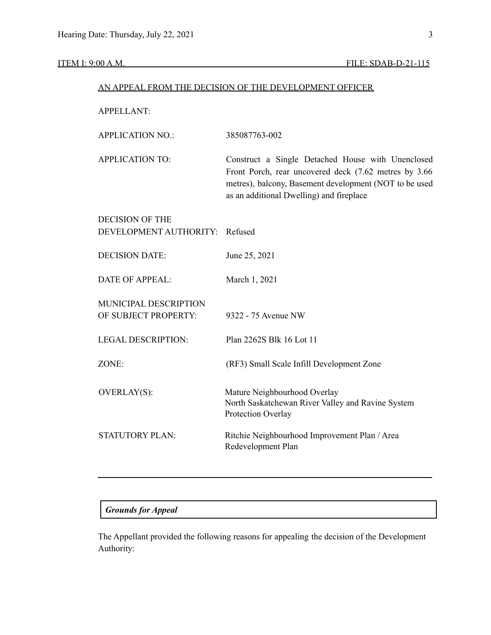#### **ITEM I: 9:00 A.M. FILE: SDAB-D-21-115**

#### AN APPEAL FROM THE DECISION OF THE DEVELOPMENT OFFICER

APPELLANT:

| <b>APPLICATION NO.:</b> | 385087763-002 |
|-------------------------|---------------|
|                         |               |

APPLICATION TO: Construct a Single Detached House with Unenclosed Front Porch, rear uncovered deck (7.62 metres by 3.66 metres), balcony, Basement development (NOT to be used as an additional Dwelling) and fireplace

| <b>DECISION OF THE</b><br>DEVELOPMENT AUTHORITY: Refused |                                                                                                         |
|----------------------------------------------------------|---------------------------------------------------------------------------------------------------------|
| <b>DECISION DATE:</b>                                    | June 25, 2021                                                                                           |
| DATE OF APPEAL:                                          | March 1, 2021                                                                                           |
| <b>MUNICIPAL DESCRIPTION</b><br>OF SUBJECT PROPERTY:     | 9322 - 75 Avenue NW                                                                                     |
| LEGAL DESCRIPTION:                                       | Plan 2262S Blk 16 Lot 11                                                                                |
| $ZONE+$                                                  | (RF3) Small Scale Infill Development Zone                                                               |
| <b>OVERLAY(S):</b>                                       | Mature Neighbourhood Overlay<br>North Saskatchewan River Valley and Ravine System<br>Protection Overlay |
| <b>STATUTORY PLAN:</b>                                   | Ritchie Neighbourhood Improvement Plan / Area<br>Redevelopment Plan                                     |

#### *Grounds for Appeal*

The Appellant provided the following reasons for appealing the decision of the Development Authority: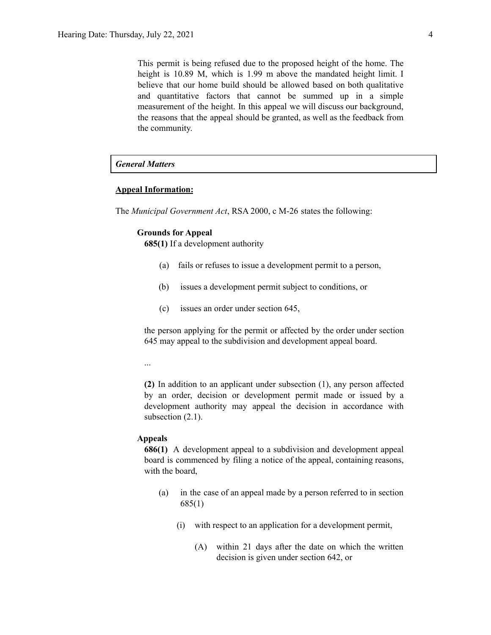This permit is being refused due to the proposed height of the home. The height is 10.89 M, which is 1.99 m above the mandated height limit. I believe that our home build should be allowed based on both qualitative and quantitative factors that cannot be summed up in a simple measurement of the height. In this appeal we will discuss our background, the reasons that the appeal should be granted, as well as the feedback from the community.

## *General Matters*

#### **Appeal Information:**

The *Municipal Government Act*, RSA 2000, c M-26 states the following:

#### **Grounds for Appeal**

**685(1)** If a development authority

- (a) fails or refuses to issue a development permit to a person,
- (b) issues a development permit subject to conditions, or
- (c) issues an order under section 645,

the person applying for the permit or affected by the order under section 645 may appeal to the subdivision and development appeal board.

...

**(2)** In addition to an applicant under subsection (1), any person affected by an order, decision or development permit made or issued by a development authority may appeal the decision in accordance with subsection  $(2.1)$ .

#### **Appeals**

**686(1)** A development appeal to a subdivision and development appeal board is commenced by filing a notice of the appeal, containing reasons, with the board,

- (a) in the case of an appeal made by a person referred to in section 685(1)
	- (i) with respect to an application for a development permit,
		- (A) within 21 days after the date on which the written decision is given under section 642, or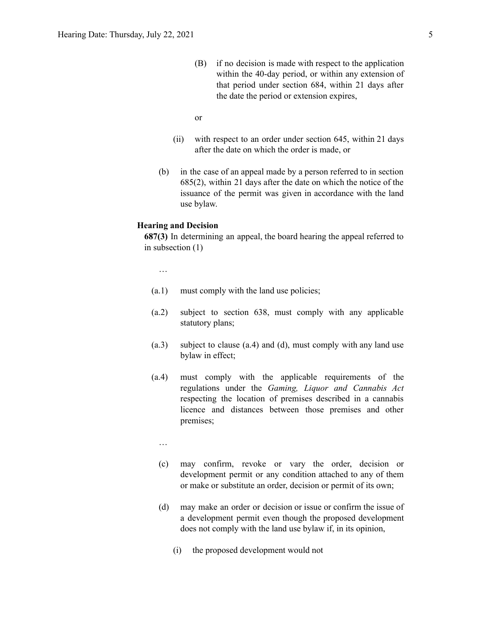(B) if no decision is made with respect to the application within the 40-day period, or within any extension of that period under section 684, within 21 days after the date the period or extension expires,

```
or
```
- (ii) with respect to an order under section 645, within 21 days after the date on which the order is made, or
- (b) in the case of an appeal made by a person referred to in section 685(2), within 21 days after the date on which the notice of the issuance of the permit was given in accordance with the land use bylaw.

#### **Hearing and Decision**

**687(3)** In determining an appeal, the board hearing the appeal referred to in subsection (1)

…

- (a.1) must comply with the land use policies;
- (a.2) subject to section 638, must comply with any applicable statutory plans;
- (a.3) subject to clause (a.4) and (d), must comply with any land use bylaw in effect;
- (a.4) must comply with the applicable requirements of the regulations under the *Gaming, Liquor and Cannabis Act* respecting the location of premises described in a cannabis licence and distances between those premises and other premises;
	- …
	- (c) may confirm, revoke or vary the order, decision or development permit or any condition attached to any of them or make or substitute an order, decision or permit of its own;
	- (d) may make an order or decision or issue or confirm the issue of a development permit even though the proposed development does not comply with the land use bylaw if, in its opinion,
		- (i) the proposed development would not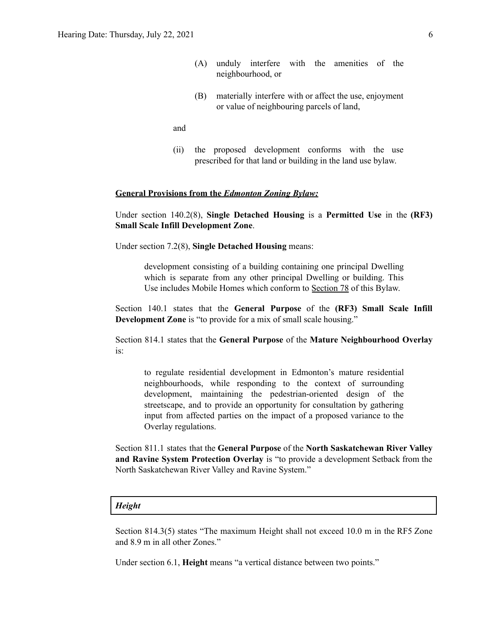- (A) unduly interfere with the amenities of the neighbourhood, or
- (B) materially interfere with or affect the use, enjoyment or value of neighbouring parcels of land,

and

(ii) the proposed development conforms with the use prescribed for that land or building in the land use bylaw.

#### **General Provisions from the** *Edmonton Zoning Bylaw:*

Under section 140.2(8), **Single Detached Housing** is a **Permitted Use** in the **(RF3) Small Scale Infill Development Zone**.

Under section 7.2(8), **Single Detached Housing** means:

development consisting of a building containing one principal Dwelling which is separate from any other principal Dwelling or building. This Use includes Mobile Homes which conform to [Section](https://webdocs.edmonton.ca/zoningbylaw/ZoningBylaw/Part1/Special_Land/78__Mobile_Homes.htm) 78 of this Bylaw.

Section 140.1 states that the **General Purpose** of the **(RF3) Small Scale Infill Development Zone** is "to provide for a mix of small scale housing."

Section 814.1 states that the **General Purpose** of the **Mature Neighbourhood Overlay** is:

to regulate residential development in Edmonton's mature residential neighbourhoods, while responding to the context of surrounding development, maintaining the pedestrian-oriented design of the streetscape, and to provide an opportunity for consultation by gathering input from affected parties on the impact of a proposed variance to the Overlay regulations.

Section 811.1 states that the **General Purpose** of the **North Saskatchewan River Valley and Ravine System Protection Overlay** is "to provide a development Setback from the North Saskatchewan River Valley and Ravine System."

#### *Height*

Section 814.3(5) states "The maximum Height shall not exceed 10.0 m in the RF5 Zone and 8.9 m in all other Zones."

Under section 6.1, **Height** means "a vertical distance between two points."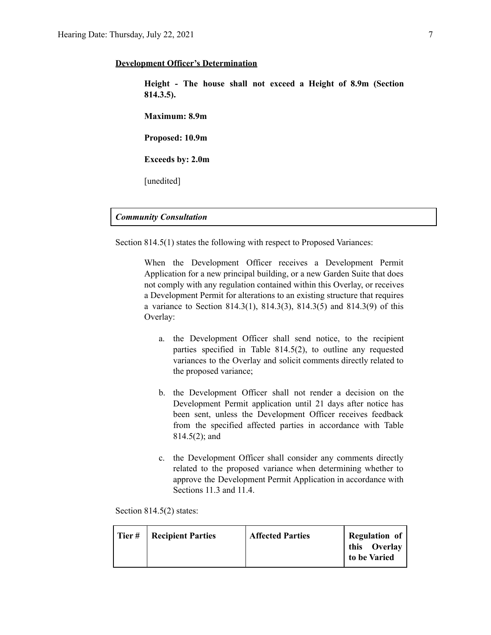#### **Development Officer's Determination**

**Height - The house shall not exceed a Height of 8.9m (Section 814.3.5).**

**Maximum: 8.9m**

**Proposed: 10.9m**

**Exceeds by: 2.0m**

[unedited]

#### *Community Consultation*

Section 814.5(1) states the following with respect to Proposed Variances:

When the Development Officer receives a Development Permit Application for a new principal building, or a new Garden Suite that does not comply with any regulation contained within this Overlay, or receives a Development Permit for alterations to an existing structure that requires a variance to Section 814.3(1), 814.3(3), 814.3(5) and 814.3(9) of this Overlay:

- a. the Development Officer shall send notice, to the recipient parties specified in Table 814.5(2), to outline any requested variances to the Overlay and solicit comments directly related to the proposed variance;
- b. the Development Officer shall not render a decision on the Development Permit application until 21 days after notice has been sent, unless the Development Officer receives feedback from the specified affected parties in accordance with Table 814.5(2); and
- c. the Development Officer shall consider any comments directly related to the proposed variance when determining whether to approve the Development Permit Application in accordance with Sections 11.3 and 11.4.

Section 814.5(2) states:

| Tier# | <b>Recipient Parties</b> | <b>Affected Parties</b> | Regulation of                |
|-------|--------------------------|-------------------------|------------------------------|
|       |                          |                         | this Overlay<br>to be Varied |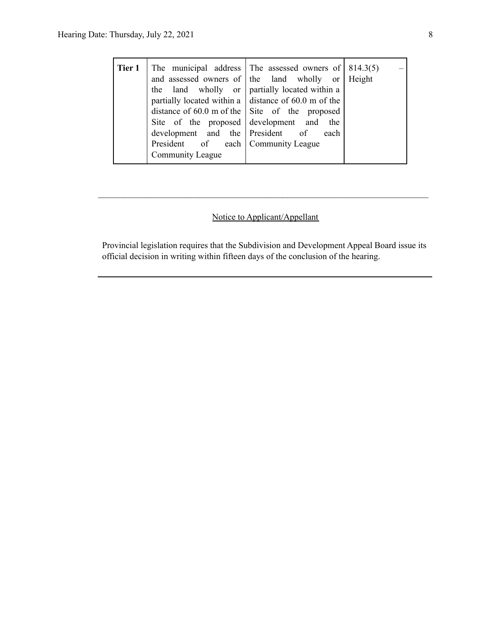| Tier 1 | Site of the proposed development and<br>development and the President of<br>President of each Community League | The municipal address The assessed owners of $  814.3(5)$<br>and assessed owners of the land wholly or Height<br>the land wholly or partially located within a<br>partially located within a $\vert$ distance of 60.0 m of the<br>distance of 60.0 m of the $\vert$ Site of the proposed<br>the<br>each |  |
|--------|----------------------------------------------------------------------------------------------------------------|---------------------------------------------------------------------------------------------------------------------------------------------------------------------------------------------------------------------------------------------------------------------------------------------------------|--|
|        | Community League                                                                                               |                                                                                                                                                                                                                                                                                                         |  |

## Notice to Applicant/Appellant

 $\mathcal{L}_\text{max} = \frac{1}{2} \sum_{i=1}^n \mathcal{L}_\text{max} = \frac{1}{2} \sum_{i=1}^n \mathcal{L}_\text{max} = \frac{1}{2} \sum_{i=1}^n \mathcal{L}_\text{max} = \frac{1}{2} \sum_{i=1}^n \mathcal{L}_\text{max} = \frac{1}{2} \sum_{i=1}^n \mathcal{L}_\text{max} = \frac{1}{2} \sum_{i=1}^n \mathcal{L}_\text{max} = \frac{1}{2} \sum_{i=1}^n \mathcal{L}_\text{max} = \frac{1}{2} \sum_{i=$ 

Provincial legislation requires that the Subdivision and Development Appeal Board issue its official decision in writing within fifteen days of the conclusion of the hearing.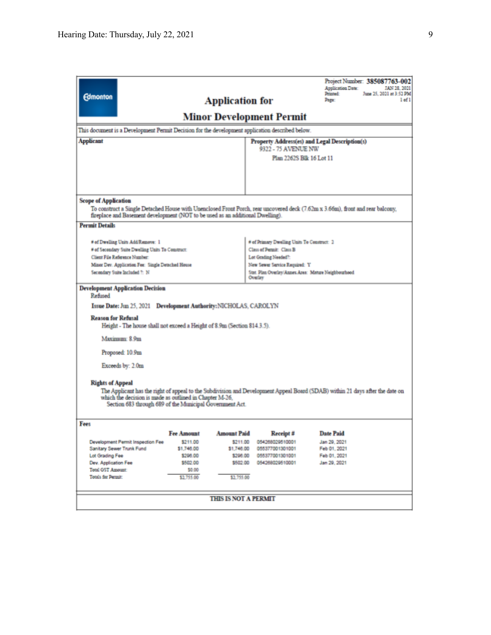| <b>Edmonton</b><br>This document is a Development Permit Decision for the development application described below.<br><b>Applicant</b>                                                                                                                                                                                                                                                                                                                                                                                                                                                                                                                                                                                                                                                                                                                                                                                                                                                                                                                                                                       |                                                                                             | <b>Application for</b>                                                             | <b>Minor Development Permit</b><br>9322 - 75 AVENUE NW<br>Plan 2262S Blk 16 Lot 11    | Project Number: 385087763-002<br><b>Application Date:</b><br>JAN 28, 2021<br>Printed:<br>June 25, 2021 at 3:52 PM<br>1 <sub>of</sub> 1<br>Page:<br>Property Address(es) and Legal Description(s) |
|--------------------------------------------------------------------------------------------------------------------------------------------------------------------------------------------------------------------------------------------------------------------------------------------------------------------------------------------------------------------------------------------------------------------------------------------------------------------------------------------------------------------------------------------------------------------------------------------------------------------------------------------------------------------------------------------------------------------------------------------------------------------------------------------------------------------------------------------------------------------------------------------------------------------------------------------------------------------------------------------------------------------------------------------------------------------------------------------------------------|---------------------------------------------------------------------------------------------|------------------------------------------------------------------------------------|---------------------------------------------------------------------------------------|--------------------------------------------------------------------------------------------------------------------------------------------------------------------------------------------------|
| <b>Scope of Application</b>                                                                                                                                                                                                                                                                                                                                                                                                                                                                                                                                                                                                                                                                                                                                                                                                                                                                                                                                                                                                                                                                                  |                                                                                             |                                                                                    |                                                                                       | To construct a Single Detached House with Unenclosed Front Porch, rear uncovered deck (7.62m x 3.66m), front and rear balcony,                                                                   |
| fireplace and Basement development (NOT to be used as an additional Dwelling).<br><b>Permit Details</b><br># of Dwelling Units Add/Remove: 1<br># of Primary Dwelling Units To Construct: 2<br># of Secondary Suite Dwelling Units To Construct:<br>Class of Permit: Class B<br>Client File Reference Number:<br>Lot Grading Needed?:<br>Minor Dev. Application Fee: Single Detached House<br>New Sewer Service Required: Y<br>Secondary Suite Included 7: N<br>Stat. Plan Overlay/Annex Area: Mature Neighbourhood<br>Overlay<br><b>Development Application Decision</b><br>Refined<br>Issue Date: Jun 25, 2021 Development Authority: NICHOLAS, CAROLYN<br><b>Reason for Refusal</b><br>Height - The house shall not exceed a Height of 8.9m (Section 814.3.5).<br>Maximum: 8.9m<br>Proposed: 10.9m<br>Exceeds by: 2.0m<br><b>Rights of Appeal</b><br>The Applicant has the right of appeal to the Subdivision and Development Appeal Board (SDAB) within 21 days after the date on<br>which the decision is made as outlined in Chapter M-26.<br>Section 683 through 689 of the Municipal Government Act. |                                                                                             |                                                                                    |                                                                                       |                                                                                                                                                                                                  |
| Fees<br>Development Permit Inspection Fee<br>Sanitary Sewer Trunk Fund<br>Lot Grading Fee<br>Dev. Application Fee<br><b>Total GST Amount:</b><br>Totals for Permit:                                                                                                                                                                                                                                                                                                                                                                                                                                                                                                                                                                                                                                                                                                                                                                                                                                                                                                                                          | <b>Fee Amount</b><br>\$211.00<br>\$1,746.00<br>\$296.00<br>\$502.00<br>\$0.00<br>\$2,755.00 | <b>Amount Paid</b><br>\$211.00<br>\$1,746.00<br>\$296.00<br>\$502.00<br>\$2,755.00 | Receipt #<br>054268029510001<br>055377001301001<br>055377001301001<br>054268029510001 | <b>Date Paid</b><br>Jan 29, 2021<br>Feb 01, 2021<br>Feb 01, 2021<br>Jan 29, 2021                                                                                                                 |
| <b>THIS IS NOT A PERMIT</b>                                                                                                                                                                                                                                                                                                                                                                                                                                                                                                                                                                                                                                                                                                                                                                                                                                                                                                                                                                                                                                                                                  |                                                                                             |                                                                                    |                                                                                       |                                                                                                                                                                                                  |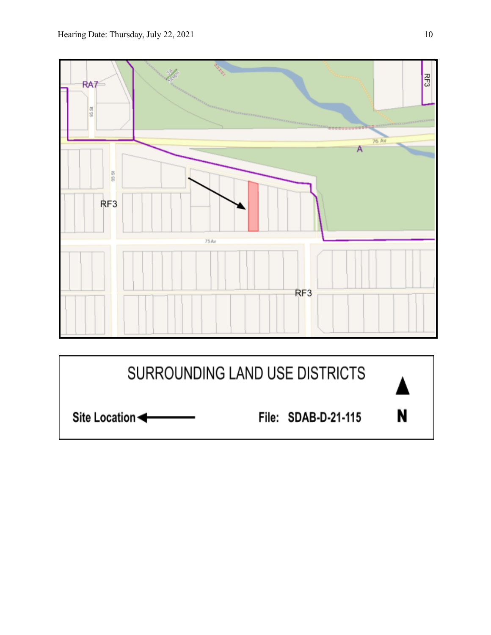

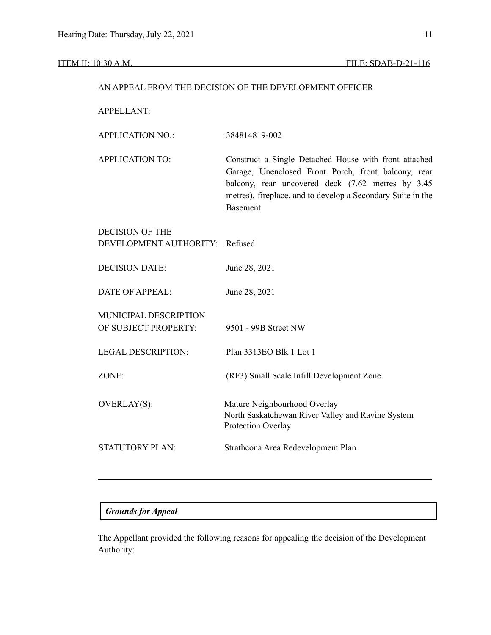#### ITEM II: 10:30 A.M. FILE: SDAB-D-21-116

#### AN APPEAL FROM THE DECISION OF THE DEVELOPMENT OFFICER

APPELLANT:

| <b>APPLICATION NO.:</b> | 384814819-002 |  |
|-------------------------|---------------|--|
|                         |               |  |

APPLICATION TO: Construct a Single Detached House with front attached Garage, Unenclosed Front Porch, front balcony, rear balcony, rear uncovered deck (7.62 metres by 3.45 metres), fireplace, and to develop a Secondary Suite in the Basement

| <b>DECISION OF THE</b>         |                                                                         |
|--------------------------------|-------------------------------------------------------------------------|
| DEVELOPMENT AUTHORITY: Refused |                                                                         |
| <b>DECISION DATE:</b>          | June 28, 2021                                                           |
| DATE OF APPEAL:                | June 28, 2021                                                           |
| MUNICIPAL DESCRIPTION          |                                                                         |
| OF SUBJECT PROPERTY:           | 9501 - 99B Street NW                                                    |
|                                |                                                                         |
| <b>LEGAL DESCRIPTION:</b>      | Plan 3313EO Blk 1 Lot 1                                                 |
| ZONE:                          | (RF3) Small Scale Infill Development Zone                               |
|                                |                                                                         |
| <b>OVERLAY(S):</b>             | Mature Neighbourhood Overlay                                            |
|                                | North Saskatchewan River Valley and Ravine System<br>Protection Overlay |
| <b>STATUTORY PLAN:</b>         | Strathcona Area Redevelopment Plan                                      |
|                                |                                                                         |

## *Grounds for Appeal*

The Appellant provided the following reasons for appealing the decision of the Development Authority: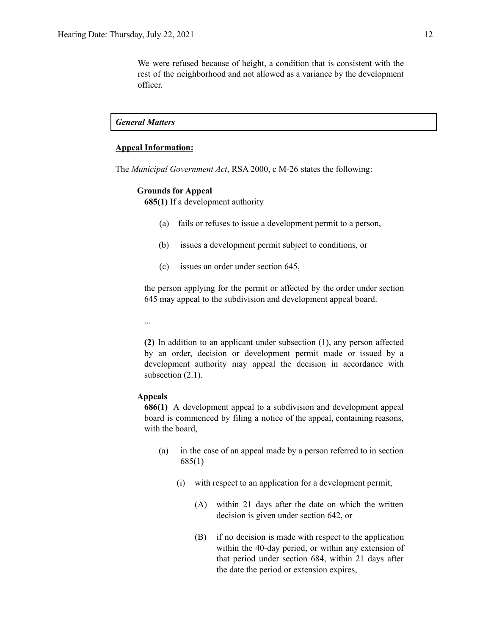We were refused because of height, a condition that is consistent with the rest of the neighborhood and not allowed as a variance by the development officer.

*General Matters*

#### **Appeal Information:**

The *Municipal Government Act*, RSA 2000, c M-26 states the following:

#### **Grounds for Appeal**

**685(1)** If a development authority

- (a) fails or refuses to issue a development permit to a person,
- (b) issues a development permit subject to conditions, or
- (c) issues an order under section 645,

the person applying for the permit or affected by the order under section 645 may appeal to the subdivision and development appeal board.

...

**(2)** In addition to an applicant under subsection (1), any person affected by an order, decision or development permit made or issued by a development authority may appeal the decision in accordance with subsection  $(2.1)$ .

#### **Appeals**

**686(1)** A development appeal to a subdivision and development appeal board is commenced by filing a notice of the appeal, containing reasons, with the board,

- (a) in the case of an appeal made by a person referred to in section 685(1)
	- (i) with respect to an application for a development permit,
		- (A) within 21 days after the date on which the written decision is given under section 642, or
		- (B) if no decision is made with respect to the application within the 40-day period, or within any extension of that period under section 684, within 21 days after the date the period or extension expires,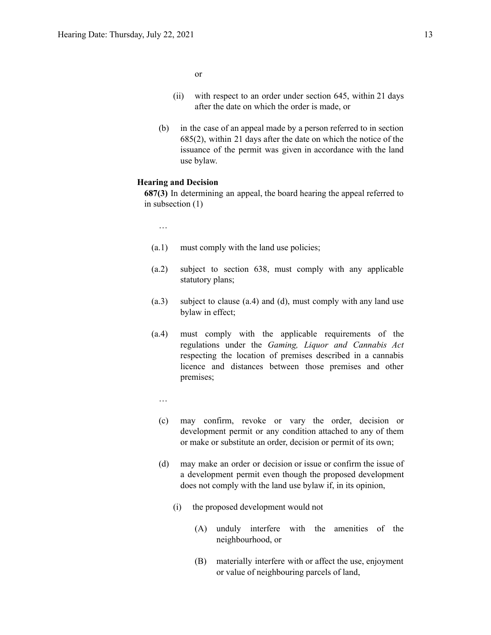or

- (ii) with respect to an order under section 645, within 21 days after the date on which the order is made, or
- (b) in the case of an appeal made by a person referred to in section 685(2), within 21 days after the date on which the notice of the issuance of the permit was given in accordance with the land use bylaw.

#### **Hearing and Decision**

**687(3)** In determining an appeal, the board hearing the appeal referred to in subsection (1)

…

- (a.1) must comply with the land use policies;
- (a.2) subject to section 638, must comply with any applicable statutory plans;
- (a.3) subject to clause (a.4) and (d), must comply with any land use bylaw in effect;
- (a.4) must comply with the applicable requirements of the regulations under the *Gaming, Liquor and Cannabis Act* respecting the location of premises described in a cannabis licence and distances between those premises and other premises;
	- …
	- (c) may confirm, revoke or vary the order, decision or development permit or any condition attached to any of them or make or substitute an order, decision or permit of its own;
	- (d) may make an order or decision or issue or confirm the issue of a development permit even though the proposed development does not comply with the land use bylaw if, in its opinion,
		- (i) the proposed development would not
			- (A) unduly interfere with the amenities of the neighbourhood, or
			- (B) materially interfere with or affect the use, enjoyment or value of neighbouring parcels of land,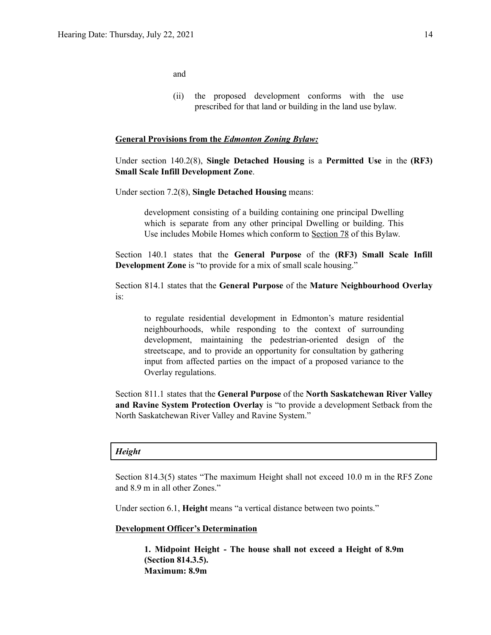and

(ii) the proposed development conforms with the use prescribed for that land or building in the land use bylaw.

#### **General Provisions from the** *Edmonton Zoning Bylaw:*

Under section 140.2(8), **Single Detached Housing** is a **Permitted Use** in the **(RF3) Small Scale Infill Development Zone**.

Under section 7.2(8), **Single Detached Housing** means:

development consisting of a building containing one principal Dwelling which is separate from any other principal Dwelling or building. This Use includes Mobile Homes which conform to [Section](https://webdocs.edmonton.ca/zoningbylaw/ZoningBylaw/Part1/Special_Land/78__Mobile_Homes.htm) 78 of this Bylaw.

Section 140.1 states that the **General Purpose** of the **(RF3) Small Scale Infill Development Zone** is "to provide for a mix of small scale housing."

Section 814.1 states that the **General Purpose** of the **Mature Neighbourhood Overlay** is:

to regulate residential development in Edmonton's mature residential neighbourhoods, while responding to the context of surrounding development, maintaining the pedestrian-oriented design of the streetscape, and to provide an opportunity for consultation by gathering input from affected parties on the impact of a proposed variance to the Overlay regulations.

Section 811.1 states that the **General Purpose** of the **North Saskatchewan River Valley and Ravine System Protection Overlay** is "to provide a development Setback from the North Saskatchewan River Valley and Ravine System."

#### *Height*

Section 814.3(5) states "The maximum Height shall not exceed 10.0 m in the RF5 Zone and 8.9 m in all other Zones."

Under section 6.1, **Height** means "a vertical distance between two points."

#### **Development Officer's Determination**

**1. Midpoint Height - The house shall not exceed a Height of 8.9m (Section 814.3.5). Maximum: 8.9m**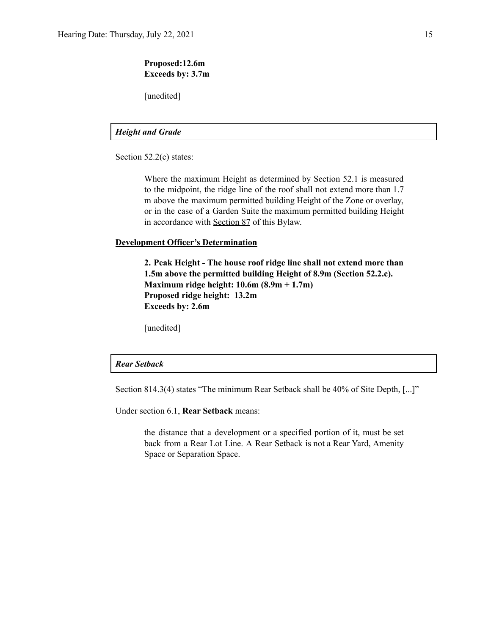### **Proposed:12.6m Exceeds by: 3.7m**

[unedited]

## *Height and Grade*

Section 52.2(c) states:

Where the maximum Height as determined by Section 52.1 is measured to the midpoint, the ridge line of the roof shall not extend more than 1.7 m above the maximum permitted building Height of the Zone or overlay, or in the case of a Garden Suite the maximum permitted building Height in accordance with [Section](http://webdocs.edmonton.ca/InfraPlan/zoningbylaw/ZoningBylaw/Part1/Special_Land/87_Garage_and_Garden_Suites.htm) 87 of this Bylaw.

#### **Development Officer's Determination**

**2. Peak Height - The house roof ridge line shall not extend more than 1.5m above the permitted building Height of 8.9m (Section 52.2.c). Maximum ridge height: 10.6m (8.9m + 1.7m) Proposed ridge height: 13.2m Exceeds by: 2.6m**

[unedited]

#### *Rear Setback*

Section 814.3(4) states "The minimum Rear Setback shall be 40% of Site Depth, [...]"

Under section 6.1, **Rear Setback** means:

the distance that a development or a specified portion of it, must be set back from a Rear Lot Line. A Rear Setback is not a Rear Yard, Amenity Space or Separation Space.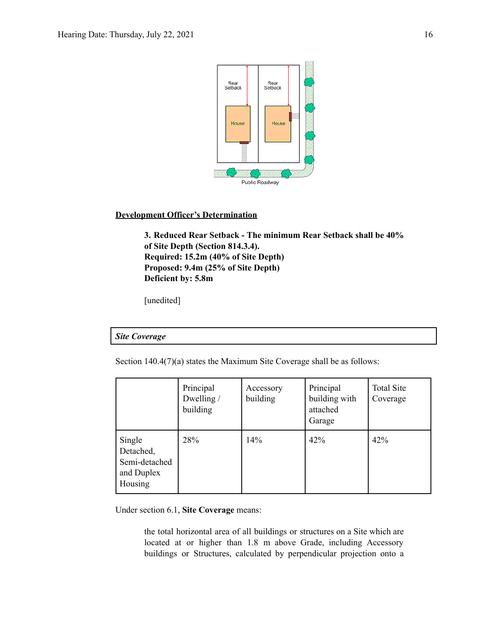

#### **Development Officer's Determination**

**3. Reduced Rear Setback - The minimum Rear Setback shall be 40% of Site Depth (Section 814.3.4). Required: 15.2m (40% of Site Depth) Proposed: 9.4m (25% of Site Depth) Deficient by: 5.8m**

[unedited]

#### *Site Coverage*

Section 140.4(7)(a) states the Maximum Site Coverage shall be as follows:

|                                                               | Principal<br>Dwelling /<br>building | Accessory<br>building | Principal<br>building with<br>attached<br>Garage | <b>Total Site</b><br>Coverage |
|---------------------------------------------------------------|-------------------------------------|-----------------------|--------------------------------------------------|-------------------------------|
| Single<br>Detached,<br>Semi-detached<br>and Duplex<br>Housing | 28%                                 | 14%                   | 42%                                              | 42%                           |

Under section 6.1, **Site Coverage** means:

the total horizontal area of all buildings or structures on a Site which are located at or higher than 1.8 m above Grade, including Accessory buildings or Structures, calculated by perpendicular projection onto a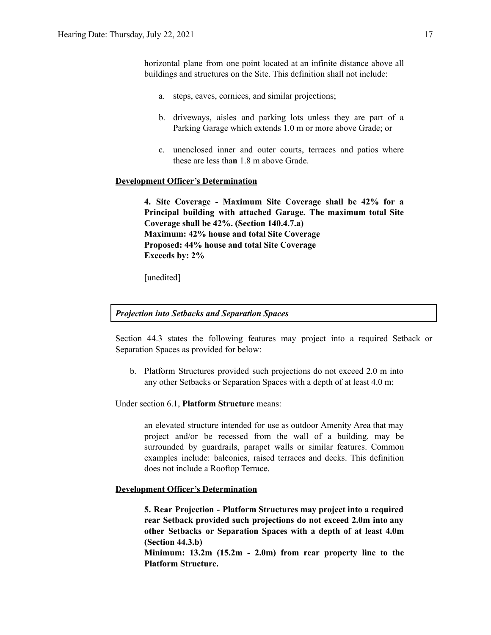horizontal plane from one point located at an infinite distance above all buildings and structures on the Site. This definition shall not include:

- a. steps, eaves, cornices, and similar projections;
- b. driveways, aisles and parking lots unless they are part of a Parking Garage which extends 1.0 m or more above Grade; or
- c. unenclosed inner and outer courts, terraces and patios where these are less tha**n** 1.8 m above Grade.

#### **Development Officer's Determination**

**4. Site Coverage - Maximum Site Coverage shall be 42% for a Principal building with attached Garage. The maximum total Site Coverage shall be 42%. (Section 140.4.7.a) Maximum: 42% house and total Site Coverage Proposed: 44% house and total Site Coverage Exceeds by: 2%**

[unedited]

#### *Projection into Setbacks and Separation Spaces*

Section 44.3 states the following features may project into a required Setback or Separation Spaces as provided for below:

b. Platform Structures provided such projections do not exceed 2.0 m into any other Setbacks or Separation Spaces with a depth of at least 4.0 m;

Under section 6.1, **Platform Structure** means:

an elevated structure intended for use as outdoor Amenity Area that may project and/or be recessed from the wall of a building, may be surrounded by guardrails, parapet walls or similar features. Common examples include: balconies, raised terraces and decks. This definition does not include a Rooftop Terrace.

#### **Development Officer's Determination**

**5. Rear Projection - Platform Structures may project into a required rear Setback provided such projections do not exceed 2.0m into any other Setbacks or Separation Spaces with a depth of at least 4.0m (Section 44.3.b)**

**Minimum: 13.2m (15.2m - 2.0m) from rear property line to the Platform Structure.**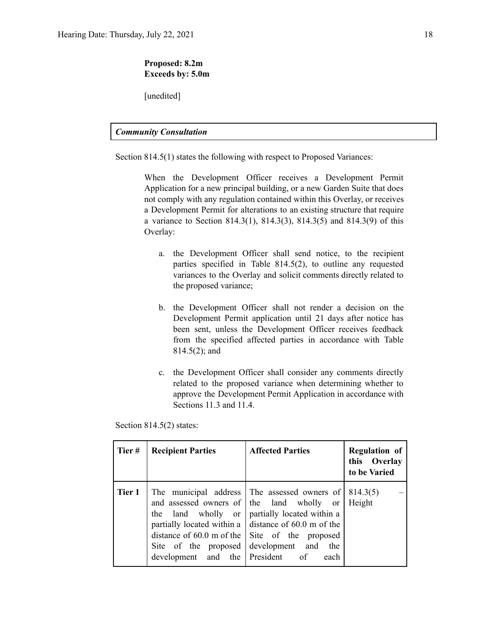### **Proposed: 8.2m Exceeds by: 5.0m**

[unedited]

### *Community Consultation*

Section 814.5(1) states the following with respect to Proposed Variances:

When the Development Officer receives a Development Permit Application for a new principal building, or a new Garden Suite that does not comply with any regulation contained within this Overlay, or receives a Development Permit for alterations to an existing structure that require a variance to Section 814.3(1), 814.3(3), 814.3(5) and 814.3(9) of this Overlay:

- a. the Development Officer shall send notice, to the recipient parties specified in Table 814.5(2), to outline any requested variances to the Overlay and solicit comments directly related to the proposed variance;
- b. the Development Officer shall not render a decision on the Development Permit application until 21 days after notice has been sent, unless the Development Officer receives feedback from the specified affected parties in accordance with Table 814.5(2); and
- c. the Development Officer shall consider any comments directly related to the proposed variance when determining whether to approve the Development Permit Application in accordance with Sections 11.3 and 11.4.

Section 814.5(2) states:

| Tier#  | <b>Recipient Parties</b>                                                       | <b>Affected Parties</b>                                                                                                                                                                                                                                                               | <b>Regulation of</b><br>this Overlay<br>to be Varied |
|--------|--------------------------------------------------------------------------------|---------------------------------------------------------------------------------------------------------------------------------------------------------------------------------------------------------------------------------------------------------------------------------------|------------------------------------------------------|
| Tier 1 | the land wholly or<br>Site of the proposed<br>development and the President of | The municipal address The assessed owners of<br>and assessed owners of the land wholly or<br>partially located within a<br>partially located within a $\vert$ distance of 60.0 m of the<br>distance of $60.0$ m of the $\vert$ Site of the proposed<br>development and<br>the<br>each | 814.3(5)<br>Height                                   |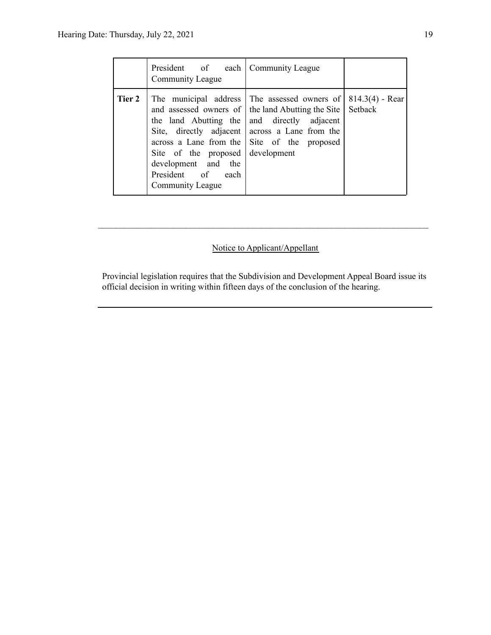|        | President of each   Community League<br>Community League                                |                                                                                                                                                                                                                                                                  |                              |
|--------|-----------------------------------------------------------------------------------------|------------------------------------------------------------------------------------------------------------------------------------------------------------------------------------------------------------------------------------------------------------------|------------------------------|
| Tier 2 | Site of the proposed<br>development and the<br>President of<br>each<br>Community League | The municipal address The assessed owners of<br>and assessed owners of the land Abutting the Site<br>the land Abutting the and directly adjacent<br>Site, directly adjacent across a Lane from the<br>across a Lane from the Site of the proposed<br>development | $814.3(4)$ - Rear<br>Setback |

# Notice to Applicant/Appellant

 $\mathcal{L}_\text{max} = \frac{1}{2} \sum_{i=1}^n \mathcal{L}_\text{max} = \frac{1}{2} \sum_{i=1}^n \mathcal{L}_\text{max} = \frac{1}{2} \sum_{i=1}^n \mathcal{L}_\text{max} = \frac{1}{2} \sum_{i=1}^n \mathcal{L}_\text{max} = \frac{1}{2} \sum_{i=1}^n \mathcal{L}_\text{max} = \frac{1}{2} \sum_{i=1}^n \mathcal{L}_\text{max} = \frac{1}{2} \sum_{i=1}^n \mathcal{L}_\text{max} = \frac{1}{2} \sum_{i=$ 

Provincial legislation requires that the Subdivision and Development Appeal Board issue its official decision in writing within fifteen days of the conclusion of the hearing.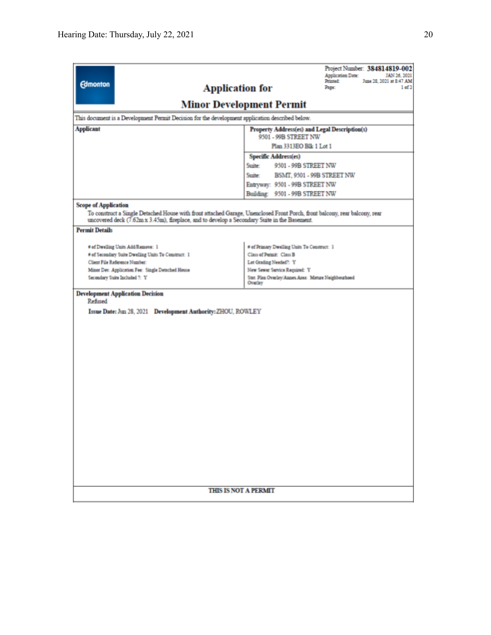|                                                                                                                                                                                                                            | Project Number: 384814819-002<br><b>Application Date:</b><br>JAN 26, 2021         |  |  |  |
|----------------------------------------------------------------------------------------------------------------------------------------------------------------------------------------------------------------------------|-----------------------------------------------------------------------------------|--|--|--|
| <b>Edmonton</b>                                                                                                                                                                                                            | June 28, 2021 at 8:47 AM<br>Printed:<br><b>Application for</b><br>Page:<br>1 of 2 |  |  |  |
|                                                                                                                                                                                                                            |                                                                                   |  |  |  |
|                                                                                                                                                                                                                            | <b>Minor Development Permit</b>                                                   |  |  |  |
| This document is a Development Permit Decision for the development application described below.                                                                                                                            |                                                                                   |  |  |  |
| <b>Applicant</b>                                                                                                                                                                                                           | Property Address(es) and Legal Description(s)<br>9501 - 99B STREET NW             |  |  |  |
|                                                                                                                                                                                                                            | Plan 3313EO Blk 1 Lot 1                                                           |  |  |  |
|                                                                                                                                                                                                                            | <b>Specific Address(es)</b>                                                       |  |  |  |
|                                                                                                                                                                                                                            | Suite:<br>9501 - 99B STREET NW                                                    |  |  |  |
|                                                                                                                                                                                                                            | Suite:<br>BSMT, 9501 - 99B STREET NW                                              |  |  |  |
|                                                                                                                                                                                                                            | Entryway: 9501 - 99B STREET NW                                                    |  |  |  |
|                                                                                                                                                                                                                            | Building: 9501 - 99B STREET NW                                                    |  |  |  |
| <b>Scope of Application</b>                                                                                                                                                                                                |                                                                                   |  |  |  |
| To construct a Single Detached House with front attached Garage, Unenclosed Front Porch, front balcony, rear balcony, rear<br>uncovered deck (7.62m x 3.45m), fireplace, and to develop a Secondary Suite in the Basement. |                                                                                   |  |  |  |
| <b>Permit Details</b>                                                                                                                                                                                                      |                                                                                   |  |  |  |
| # of Dwelling Units Add/Remove: 1                                                                                                                                                                                          | # of Primary Dwelling Units To Construct: 1                                       |  |  |  |
| # of Secondary Suite Dwelling Units To Construct: 1                                                                                                                                                                        | Class of Permit: Class B                                                          |  |  |  |
| Client File Reference Number:                                                                                                                                                                                              | Lot Grading Needed?: Y                                                            |  |  |  |
| Minor Dev. Application Fee: Single Detached House                                                                                                                                                                          | New Sewer Service Required: Y                                                     |  |  |  |
| Secondary Suite Included ?: Y                                                                                                                                                                                              | Stat. Plan Overlay/Annex Area: Mature Neighbourhood<br>Overlay                    |  |  |  |
| <b>Development Application Decision</b>                                                                                                                                                                                    |                                                                                   |  |  |  |
| Refined                                                                                                                                                                                                                    |                                                                                   |  |  |  |
| Issue Date: Jun 28, 2021 Development Authority: ZHOU, ROWLEY                                                                                                                                                               |                                                                                   |  |  |  |
|                                                                                                                                                                                                                            |                                                                                   |  |  |  |
|                                                                                                                                                                                                                            |                                                                                   |  |  |  |
|                                                                                                                                                                                                                            |                                                                                   |  |  |  |
|                                                                                                                                                                                                                            |                                                                                   |  |  |  |
|                                                                                                                                                                                                                            |                                                                                   |  |  |  |
|                                                                                                                                                                                                                            |                                                                                   |  |  |  |
|                                                                                                                                                                                                                            |                                                                                   |  |  |  |
|                                                                                                                                                                                                                            |                                                                                   |  |  |  |
|                                                                                                                                                                                                                            |                                                                                   |  |  |  |
|                                                                                                                                                                                                                            |                                                                                   |  |  |  |
|                                                                                                                                                                                                                            |                                                                                   |  |  |  |
|                                                                                                                                                                                                                            |                                                                                   |  |  |  |
|                                                                                                                                                                                                                            |                                                                                   |  |  |  |
|                                                                                                                                                                                                                            |                                                                                   |  |  |  |
|                                                                                                                                                                                                                            |                                                                                   |  |  |  |
|                                                                                                                                                                                                                            |                                                                                   |  |  |  |
|                                                                                                                                                                                                                            |                                                                                   |  |  |  |
|                                                                                                                                                                                                                            |                                                                                   |  |  |  |
| <b>THIS IS NOT A PERMIT</b>                                                                                                                                                                                                |                                                                                   |  |  |  |
|                                                                                                                                                                                                                            |                                                                                   |  |  |  |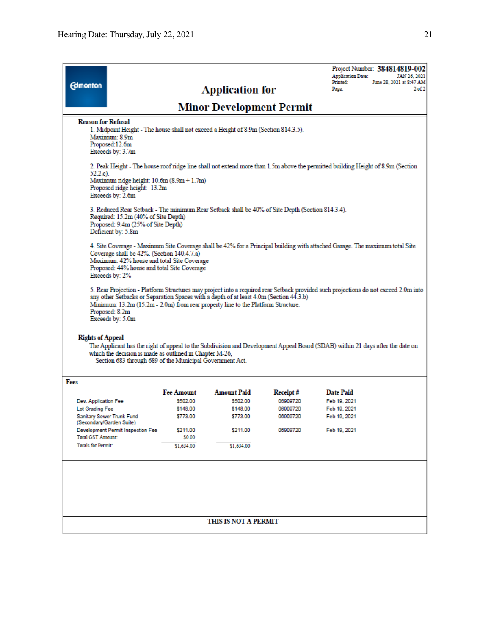| <b>Edmonton</b>                                                                                                                                                                                                                                                                                                                                         |  |                   | <b>Application for</b><br>Minor Development Permit |          | <b>Application Date:</b><br>Printed:<br>Page: | Project Number: 384814819-002<br>JAN 26, 2021<br>June 28, 2021 at 8:47 AM<br>2 <sub>of</sub> 2 |
|---------------------------------------------------------------------------------------------------------------------------------------------------------------------------------------------------------------------------------------------------------------------------------------------------------------------------------------------------------|--|-------------------|----------------------------------------------------|----------|-----------------------------------------------|------------------------------------------------------------------------------------------------|
| <b>Reason for Refusal</b><br>1. Midpoint Height - The house shall not exceed a Height of 8.9m (Section 814.3.5).<br>Maximum: 8.9m<br>Proposed:12.6m<br>Exceeds by: 3.7m                                                                                                                                                                                 |  |                   |                                                    |          |                                               |                                                                                                |
| 2. Peak Height - The house roof ridge line shall not extend more than 1.5m above the permitted building Height of 8.9m (Section<br>52.2.c).<br>Maximum ridge height: 10.6m (8.9m + 1.7m)<br>Proposed ridge height: 13.2m<br>Exceeds by: 2.6m                                                                                                            |  |                   |                                                    |          |                                               |                                                                                                |
| 3. Reduced Rear Setback - The minimum Rear Setback shall be 40% of Site Depth (Section 814.3.4).<br>Required: 15.2m (40% of Site Depth)<br>Proposed: 9.4m (25% of Site Depth)<br>Deficient by: 5.8m                                                                                                                                                     |  |                   |                                                    |          |                                               |                                                                                                |
| 4. Site Coverage - Maximum Site Coverage shall be 42% for a Principal building with attached Garage. The maximum total Site<br>Coverage shall be 42%. (Section 140.4.7.a)<br>Maximum: 42% house and total Site Coverage<br>Proposed: 44% house and total Site Coverage<br>Exceeds by: 2%                                                                |  |                   |                                                    |          |                                               |                                                                                                |
| 5. Rear Projection - Platform Structures may project into a required rear Setback provided such projections do not exceed 2.0m into<br>any other Setbacks or Separation Spaces with a depth of at least 4.0m (Section 44.3.b)<br>Minimum: 13.2m (15.2m - 2.0m) from rear property line to the Platform Structure.<br>Proposed: 8.2m<br>Exceeds by: 5.0m |  |                   |                                                    |          |                                               |                                                                                                |
| <b>Rights of Appeal</b><br>The Applicant has the right of appeal to the Subdivision and Development Appeal Board (SDAB) within 21 days after the date on<br>which the decision is made as outlined in Chapter M-26,<br>Section 683 through 689 of the Municipal Government Act.                                                                         |  |                   |                                                    |          |                                               |                                                                                                |
| Fees                                                                                                                                                                                                                                                                                                                                                    |  |                   |                                                    |          |                                               |                                                                                                |
|                                                                                                                                                                                                                                                                                                                                                         |  | <b>Fee Amount</b> | <b>Amount Paid</b>                                 | Receipt# | <b>Date Paid</b>                              |                                                                                                |
| Dev. Application Fee                                                                                                                                                                                                                                                                                                                                    |  | \$502.00          | \$502.00                                           | 06909720 | Feb 19, 2021                                  |                                                                                                |
| Lot Grading Fee                                                                                                                                                                                                                                                                                                                                         |  | \$148.00          | \$148.00                                           | 06909720 | Feb 19, 2021                                  |                                                                                                |
| Sanitary Sewer Trunk Fund<br>(Secondary/Garden Suite)                                                                                                                                                                                                                                                                                                   |  | \$773.00          | \$773.00                                           | 06909720 | Feb 19, 2021                                  |                                                                                                |
| Development Permit Inspection Fee                                                                                                                                                                                                                                                                                                                       |  | \$211.00          | \$211.00                                           | 06909720 | Feb 19, 2021                                  |                                                                                                |
| <b>Total GST Amount:</b><br><b>Totals for Permit:</b>                                                                                                                                                                                                                                                                                                   |  | \$0.00            |                                                    |          |                                               |                                                                                                |
|                                                                                                                                                                                                                                                                                                                                                         |  | \$1,634.00        | \$1,634.00                                         |          |                                               |                                                                                                |
|                                                                                                                                                                                                                                                                                                                                                         |  |                   |                                                    |          |                                               |                                                                                                |
| THIS IS NOT A PERMIT                                                                                                                                                                                                                                                                                                                                    |  |                   |                                                    |          |                                               |                                                                                                |
|                                                                                                                                                                                                                                                                                                                                                         |  |                   |                                                    |          |                                               |                                                                                                |